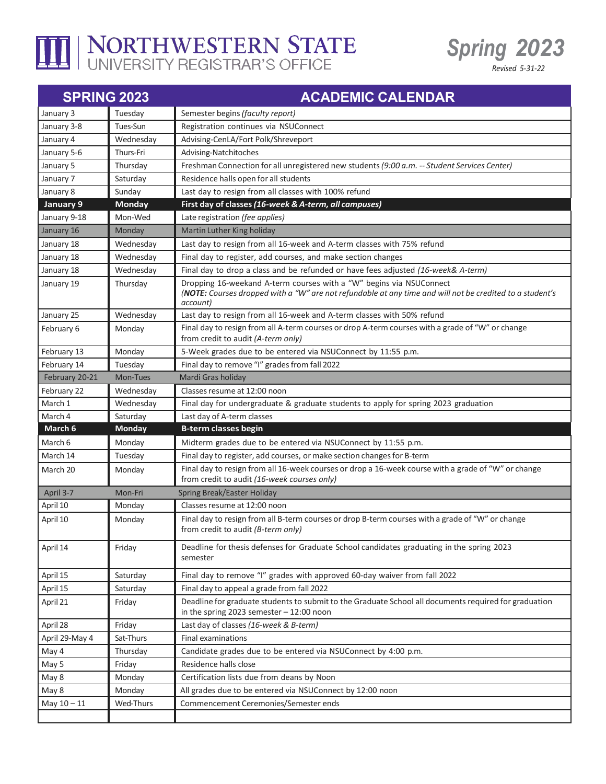

## I NORTHWESTERN STATE



*Revised 5-31-22*

| <b>SPRING 2023</b> |               | <b>ACADEMIC CALENDAR</b>                                                                                                                                                                    |
|--------------------|---------------|---------------------------------------------------------------------------------------------------------------------------------------------------------------------------------------------|
| January 3          | Tuesday       | Semester begins (faculty report)                                                                                                                                                            |
| January 3-8        | Tues-Sun      | Registration continues via NSUConnect                                                                                                                                                       |
| January 4          | Wednesday     | Advising-CenLA/Fort Polk/Shreveport                                                                                                                                                         |
| January 5-6        | Thurs-Fri     | Advising-Natchitoches                                                                                                                                                                       |
| January 5          | Thursday      | Freshman Connection for all unregistered new students (9:00 a.m. -- Student Services Center)                                                                                                |
| January 7          | Saturday      | Residence halls open for all students                                                                                                                                                       |
| January 8          | Sunday        | Last day to resign from all classes with 100% refund                                                                                                                                        |
| January 9          | <b>Monday</b> | First day of classes (16-week & A-term, all campuses)                                                                                                                                       |
| January 9-18       | Mon-Wed       | Late registration (fee applies)                                                                                                                                                             |
| January 16         | Monday        | Martin Luther King holiday                                                                                                                                                                  |
| January 18         | Wednesday     | Last day to resign from all 16-week and A-term classes with 75% refund                                                                                                                      |
| January 18         | Wednesday     | Final day to register, add courses, and make section changes                                                                                                                                |
| January 18         | Wednesday     | Final day to drop a class and be refunded or have fees adjusted (16-week& A-term)                                                                                                           |
| January 19         | Thursday      | Dropping 16-weekand A-term courses with a "W" begins via NSUConnect<br>(NOTE: Courses dropped with a "W" are not refundable at any time and will not be credited to a student's<br>account) |
| January 25         | Wednesday     | Last day to resign from all 16-week and A-term classes with 50% refund                                                                                                                      |
| February 6         | Monday        | Final day to resign from all A-term courses or drop A-term courses with a grade of "W" or change<br>from credit to audit (A-term only)                                                      |
| February 13        | Monday        | 5-Week grades due to be entered via NSUConnect by 11:55 p.m.                                                                                                                                |
| February 14        | Tuesday       | Final day to remove "I" grades from fall 2022                                                                                                                                               |
| February 20-21     | Mon-Tues      | Mardi Gras holiday                                                                                                                                                                          |
| February 22        | Wednesday     | Classes resume at 12:00 noon                                                                                                                                                                |
| March 1            | Wednesday     | Final day for undergraduate & graduate students to apply for spring 2023 graduation                                                                                                         |
| March 4            | Saturday      | Last day of A-term classes                                                                                                                                                                  |
| March 6            | Monday        | <b>B-term classes begin</b>                                                                                                                                                                 |
| March 6            | Monday        | Midterm grades due to be entered via NSUConnect by 11:55 p.m.                                                                                                                               |
| March 14           | Tuesday       | Final day to register, add courses, or make section changes for B-term                                                                                                                      |
| March 20           | Monday        | Final day to resign from all 16-week courses or drop a 16-week course with a grade of "W" or change<br>from credit to audit (16-week courses only)                                          |
| April 3-7          | Mon-Fri       | Spring Break/Easter Holiday                                                                                                                                                                 |
| April 10           | Monday        | Classes resume at 12:00 noon                                                                                                                                                                |
| April 10           | Monday        | Final day to resign from all B-term courses or drop B-term courses with a grade of "W" or change<br>from credit to audit (B-term only)                                                      |
| April 14           | Friday        | Deadline for thesis defenses for Graduate School candidates graduating in the spring 2023<br>semester                                                                                       |
| April 15           | Saturday      | Final day to remove "I" grades with approved 60-day waiver from fall 2022                                                                                                                   |
| April 15           | Saturday      | Final day to appeal a grade from fall 2022                                                                                                                                                  |
| April 21           | Friday        | Deadline for graduate students to submit to the Graduate School all documents required for graduation<br>in the spring 2023 semester $-12:00$ noon                                          |
| April 28           | Friday        | Last day of classes (16-week & B-term)                                                                                                                                                      |
| April 29-May 4     | Sat-Thurs     | <b>Final examinations</b>                                                                                                                                                                   |
| May 4              | Thursday      | Candidate grades due to be entered via NSUConnect by 4:00 p.m.                                                                                                                              |
| May 5              | Friday        | Residence halls close                                                                                                                                                                       |
| May 8              | Monday        | Certification lists due from deans by Noon                                                                                                                                                  |
| May 8              | Monday        | All grades due to be entered via NSUConnect by 12:00 noon                                                                                                                                   |
| May $10 - 11$      | Wed-Thurs     | Commencement Ceremonies/Semester ends                                                                                                                                                       |
|                    |               |                                                                                                                                                                                             |